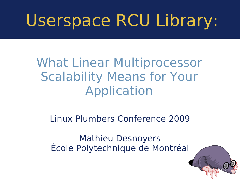# Userspace RCU Library:

#### What Linear Multiprocessor Scalability Means for Your Application

#### Linux Plumbers Conference 2009

Mathieu Desnoyers École Polytechnique de Montréal

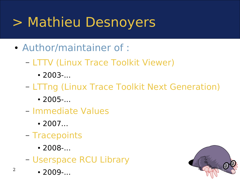### > Mathieu Desnoyers

- Author/maintainer of :
	- LTTV (Linux Trace Toolkit Viewer)
		- $\cdot$  2003-...
	- LTTng (Linux Trace Toolkit Next Generation)
		- $2005...$
	- Immediate Values
		- $\cdot$  2007...
	- Tracepoints
		- $2008...$
	- Userspace RCU Library
		- $\cdot$  2009-...

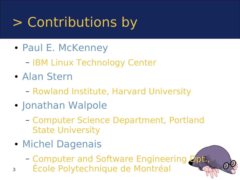### > Contributions by

- Paul E. McKenney
	- IBM Linux Technology Center
- Alan Stern
	- Rowland Institute, Harvard University
- Jonathan Walpole
	- Computer Science Department, Portland State University
- Michel Dagenais
	- Computer and Software Engineering D
- 3 École Polytechnique de Montréal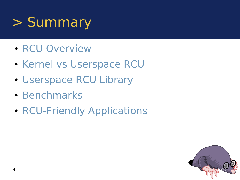### > Summary

- RCU Overview
- Kernel vs Userspace RCU
- Userspace RCU Library
- Benchmarks
- RCU-Friendly Applications

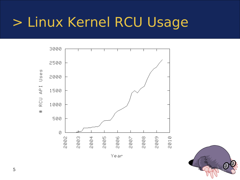### > Linux Kernel RCU Usage



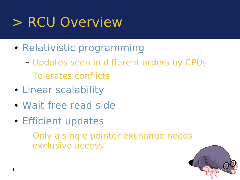### > RCU Overview

- Relativistic programming
	- Updates seen in different orders by CPUs
	- Tolerates conflicts
- Linear scalability
- Wait-free read-side
- Efficient updates
	- Only a single pointer exchange needs exclusive access

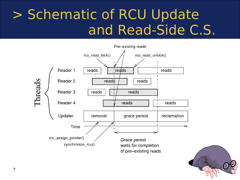### > Schematic of RCU Update and Read-Side C.S.



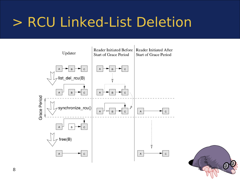### > RCU Linked-List Deletion



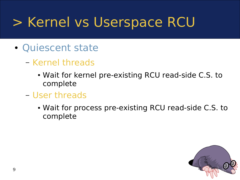### > Kernel vs Userspace RCU

- Quiescent state
	- Kernel threads
		- Wait for kernel pre-existing RCU read-side C.S. to complete
	- User threads
		- Wait for process pre-existing RCU read-side C.S. to complete

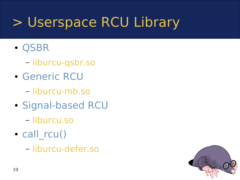### > Userspace RCU Library

- QSBR
	- liburcu-qsbr.so
- Generic RCU
	- liburcu-mb.so
- Signal-based RCU
	- liburcu.so
- call rcu()
	- liburcu-defer.so

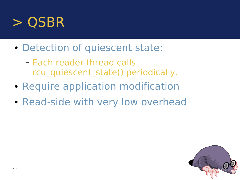

- Detection of quiescent state:
	- Each reader thread calls rcu quiescent state() periodically.
- Require application modification
- Read-side with very low overhead

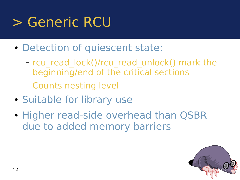### > Generic RCU

- Detection of quiescent state:
	- rcu\_read\_lock()/rcu\_read\_unlock() mark the beginning/end of the critical sections
	- Counts nesting level
- Suitable for library use
- Higher read-side overhead than QSBR due to added memory barriers

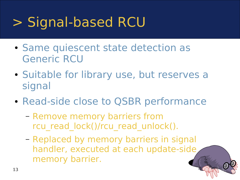### > Signal-based RCU

- Same quiescent state detection as Generic RCU
- Suitable for library use, but reserves a signal
- Read-side close to QSBR performance
	- Remove memory barriers from rcu read lock()/rcu read unlock().
	- Replaced by memory barriers in signal handler, executed at each update-side memory barrier.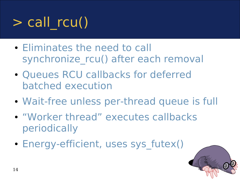## $>$  call rcu()

- Eliminates the need to call synchronize rcu() after each removal
- Queues RCU callbacks for deferred batched execution
- Wait-free unless per-thread queue is full
- "Worker thread" executes callbacks periodically
- Energy-efficient, uses sys futex()

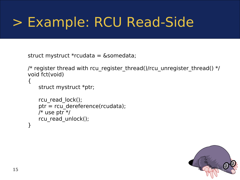### > Example: RCU Read-Side

```
struct mystruct *rcudata = &somedata;
```

```
/* register thread with rcu_register_thread()/rcu_unregister_thread() */
void fct(void)
```

```
struct mystruct *ptr;
```
{

```
rcu read lock();
   ptr = rcu_dereference(rcudata);
   /* use ptr */rcu read unlock();
}
```
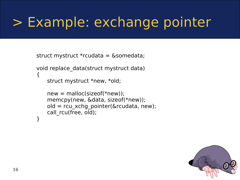#### > Example: exchange pointer

```
struct mystruct *rcudata = &somedata;
```

```
void replace_data(struct mystruct data)
\{struct mystruct *new, *old;
```

```
new = malloc(sizeof(*new));memcpy(new, &data, sizeof(*new));
old = rcu_xchg_pointer(&rcudata, new);
call rcu(free, old);
```
}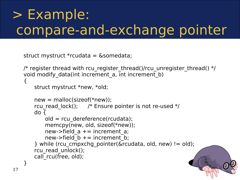### > Example: compare-and-exchange pointer

```
struct mystruct *rcudata = &somedata;
```
17

```
/* register thread with rcu register thread()/rcu unregister thread() */void modify data(int increment a, int increment b)
\{struct mystruct *new, *old;
```

```
new = malloc(sizeof(*new));rcu read lock(); \frac{1}{2} /* Ensure pointer is not re-used \frac{1}{2}do {
       old = rcu dereference(rcudata);
       memcpy(new, old, sizeof(*new));
       new->field a += increment a;
       new->field b += increment b;
   } while (rcu_cmpxchg_pointer(&rcudata, old, new) != old);
   rcu_read_unlock();
   call rcu(free, old);
}
```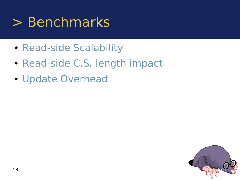#### > Benchmarks

- Read-side Scalability
- Read-side C.S. length impact
- Update Overhead

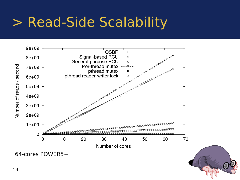#### > Read-Side Scalability





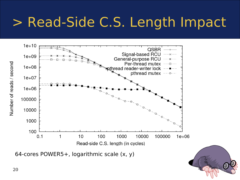#### > Read-Side C.S. Length Impact



64-cores POWER5+, logarithmic scale (x, y)

Number of reads / second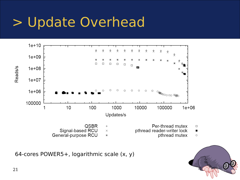### > Update Overhead



64-cores POWER5+, logarithmic scale (x, y)

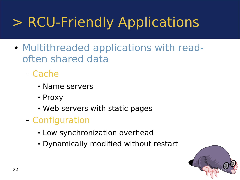- Multithreaded applications with readoften shared data
	- Cache
		- Name servers
		- Proxy
		- Web servers with static pages
	- Configuration
		- Low synchronization overhead
		- Dynamically modified without restart

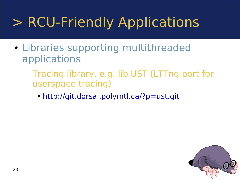- Libraries supporting multithreaded applications
	- Tracing library, e.g. lib UST (LTTng port for userspace tracing)
		- <http://git.dorsal.polymtl.ca/?p=ust.git>

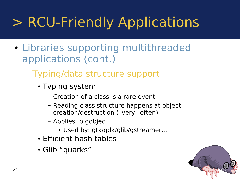- Libraries supporting multithreaded applications (cont.)
	- Typing/data structure support
		- Typing system
			- Creation of a class is a rare event
			- Reading class structure happens at object creation/destruction (\_very\_ often)
			- Applies to gobject
				- Used by: gtk/gdk/glib/gstreamer...
		- Efficient hash tables
		- Glib "quarks"

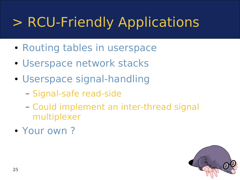- Routing tables in userspace
- Userspace network stacks
- Userspace signal-handling
	- Signal-safe read-side
	- Could implement an inter-thread signal multiplexer
- Your own?